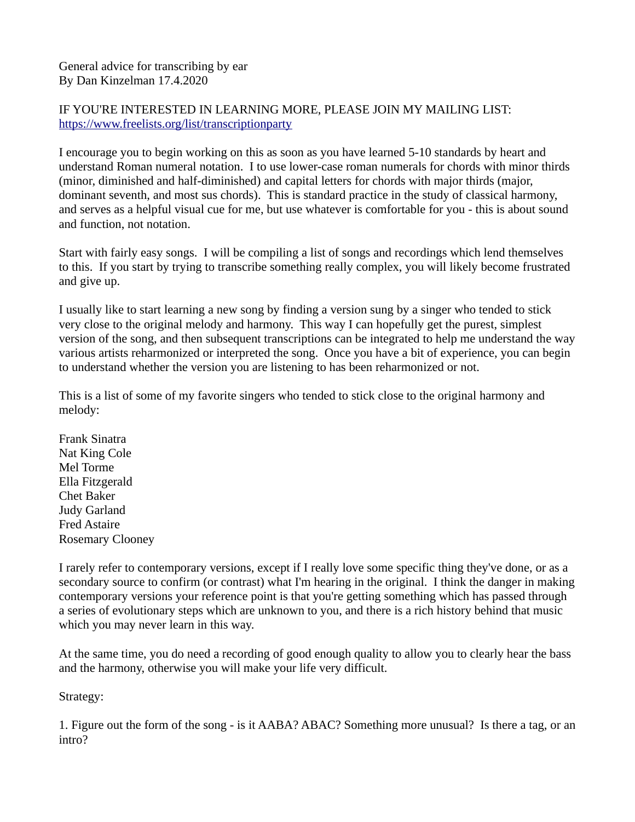## General advice for transcribing by ear By Dan Kinzelman 17.4.2020

## IF YOU'RE INTERESTED IN LEARNING MORE, PLEASE JOIN MY MAILING LIST: [https://www.freelists.org/list/transcriptionparty](https://www.freelists.org/list/transcriptionparty?fbclid=IwAR0xrH_lrpT4FLTCN1ZpETrZYNhmWzy01UKLal_J4A5ifIVNQrQT8NrDj_I)

I encourage you to begin working on this as soon as you have learned 5-10 standards by heart and understand Roman numeral notation. I to use lower-case roman numerals for chords with minor thirds (minor, diminished and half-diminished) and capital letters for chords with major thirds (major, dominant seventh, and most sus chords). This is standard practice in the study of classical harmony, and serves as a helpful visual cue for me, but use whatever is comfortable for you - this is about sound and function, not notation.

Start with fairly easy songs. I will be compiling a list of songs and recordings which lend themselves to this. If you start by trying to transcribe something really complex, you will likely become frustrated and give up.

I usually like to start learning a new song by finding a version sung by a singer who tended to stick very close to the original melody and harmony. This way I can hopefully get the purest, simplest version of the song, and then subsequent transcriptions can be integrated to help me understand the way various artists reharmonized or interpreted the song. Once you have a bit of experience, you can begin to understand whether the version you are listening to has been reharmonized or not.

This is a list of some of my favorite singers who tended to stick close to the original harmony and melody:

Frank Sinatra Nat King Cole Mel Torme Ella Fitzgerald Chet Baker Judy Garland Fred Astaire Rosemary Clooney

I rarely refer to contemporary versions, except if I really love some specific thing they've done, or as a secondary source to confirm (or contrast) what I'm hearing in the original. I think the danger in making contemporary versions your reference point is that you're getting something which has passed through a series of evolutionary steps which are unknown to you, and there is a rich history behind that music which you may never learn in this way.

At the same time, you do need a recording of good enough quality to allow you to clearly hear the bass and the harmony, otherwise you will make your life very difficult.

Strategy:

1. Figure out the form of the song - is it AABA? ABAC? Something more unusual? Is there a tag, or an intro?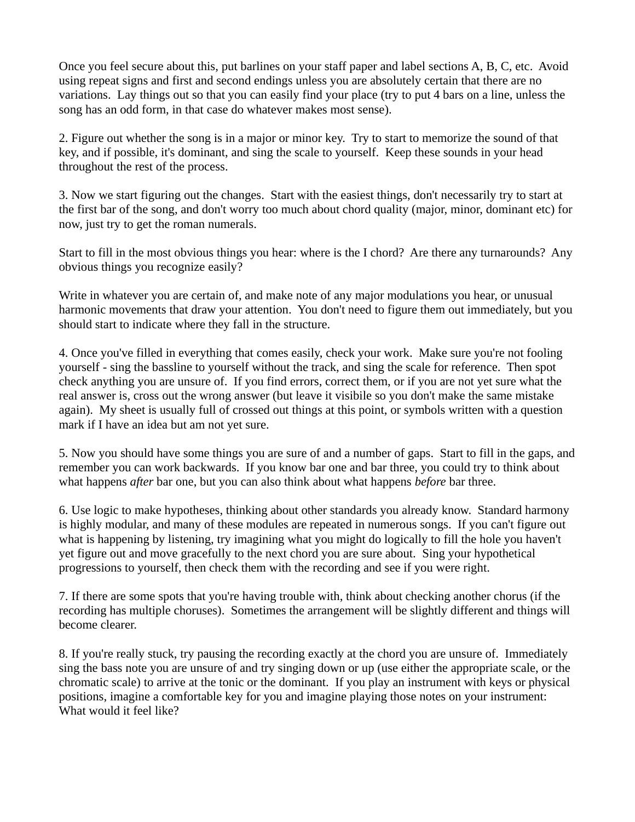Once you feel secure about this, put barlines on your staff paper and label sections A, B, C, etc. Avoid using repeat signs and first and second endings unless you are absolutely certain that there are no variations. Lay things out so that you can easily find your place (try to put 4 bars on a line, unless the song has an odd form, in that case do whatever makes most sense).

2. Figure out whether the song is in a major or minor key. Try to start to memorize the sound of that key, and if possible, it's dominant, and sing the scale to yourself. Keep these sounds in your head throughout the rest of the process.

3. Now we start figuring out the changes. Start with the easiest things, don't necessarily try to start at the first bar of the song, and don't worry too much about chord quality (major, minor, dominant etc) for now, just try to get the roman numerals.

Start to fill in the most obvious things you hear: where is the I chord? Are there any turnarounds? Any obvious things you recognize easily?

Write in whatever you are certain of, and make note of any major modulations you hear, or unusual harmonic movements that draw your attention. You don't need to figure them out immediately, but you should start to indicate where they fall in the structure.

4. Once you've filled in everything that comes easily, check your work. Make sure you're not fooling yourself - sing the bassline to yourself without the track, and sing the scale for reference. Then spot check anything you are unsure of. If you find errors, correct them, or if you are not yet sure what the real answer is, cross out the wrong answer (but leave it visibile so you don't make the same mistake again). My sheet is usually full of crossed out things at this point, or symbols written with a question mark if I have an idea but am not yet sure.

5. Now you should have some things you are sure of and a number of gaps. Start to fill in the gaps, and remember you can work backwards. If you know bar one and bar three, you could try to think about what happens *after* bar one, but you can also think about what happens *before* bar three.

6. Use logic to make hypotheses, thinking about other standards you already know. Standard harmony is highly modular, and many of these modules are repeated in numerous songs. If you can't figure out what is happening by listening, try imagining what you might do logically to fill the hole you haven't yet figure out and move gracefully to the next chord you are sure about. Sing your hypothetical progressions to yourself, then check them with the recording and see if you were right.

7. If there are some spots that you're having trouble with, think about checking another chorus (if the recording has multiple choruses). Sometimes the arrangement will be slightly different and things will become clearer.

8. If you're really stuck, try pausing the recording exactly at the chord you are unsure of. Immediately sing the bass note you are unsure of and try singing down or up (use either the appropriate scale, or the chromatic scale) to arrive at the tonic or the dominant. If you play an instrument with keys or physical positions, imagine a comfortable key for you and imagine playing those notes on your instrument: What would it feel like?